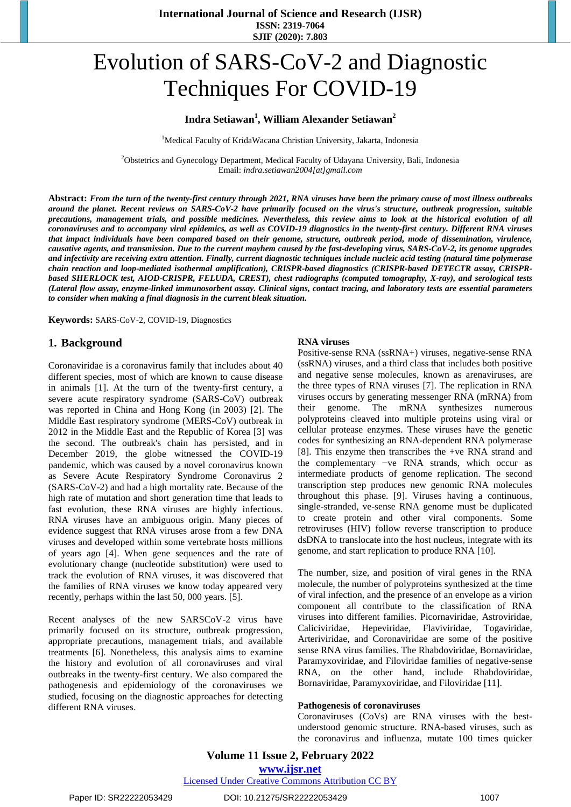# Evolution of SARS-CoV-2 and Diagnostic Techniques For COVID-19

# **Indra Setiawan<sup>1</sup> , William Alexander Setiawan<sup>2</sup>**

<sup>1</sup>Medical Faculty of KridaWacana Christian University, Jakarta, Indonesia

<sup>2</sup>Obstetrics and Gynecology Department, Medical Faculty of Udayana University, Bali, Indonesia Email: *indra.setiawan2004[at]gmail.com*

Abstract: From the turn of the twenty-first century through 2021, RNA viruses have been the primary cause of most illness outbreaks around the planet. Recent reviews on SARS-CoV-2 have primarily focused on the virus's structure, outbreak progression, suitable precautions, management trials, and possible medicines. Nevertheless, this review aims to look at the historical evolution of all coronaviruses and to accompany viral epidemics, as well as COVID-19 diagnostics in the twenty-first century. Different RNA viruses *that impact individuals have been compared based on their genome, structure, outbreak period, mode of dissemination, virulence,*  causative agents, and transmission. Due to the current mayhem caused by the fast-developing virus, SARS-CoV-2, its genome upgrades and infectivity are receiving extra attention. Finally, current diagnostic techniques include nucleic acid testing (natural time polymerase *chain reaction and loop-mediated isothermal amplification), CRISPR-based diagnostics (CRISPR-based DETECTR assay, CRISPRbased SHERLOCK test, AIOD-CRISPR, FELUDA, CREST), chest radiographs (computed tomography, X-ray), and serological tests (Lateral flow assay, enzyme-linked immunosorbent assay. Clinical signs, contact tracing, and laboratory tests are essential parameters to consider when making a final diagnosis in the current bleak situation.* 

**Keywords:** SARS-CoV-2, COVID-19, Diagnostics

# **1. Background**

Coronaviridae is a coronavirus family that includes about 40 different species, most of which are known to cause disease in animals [1]. At the turn of the twenty-first century, a severe acute respiratory syndrome (SARS-CoV) outbreak was reported in China and Hong Kong (in 2003) [2]. The Middle East respiratory syndrome (MERS-CoV) outbreak in 2012 in the Middle East and the Republic of Korea [3] was the second. The outbreak's chain has persisted, and in December 2019, the globe witnessed the COVID-19 pandemic, which was caused by a novel coronavirus known as Severe Acute Respiratory Syndrome Coronavirus 2 (SARS-CoV-2) and had a high mortality rate. Because of the high rate of mutation and short generation time that leads to fast evolution, these RNA viruses are highly infectious. RNA viruses have an ambiguous origin. Many pieces of evidence suggest that RNA viruses arose from a few DNA viruses and developed within some vertebrate hosts millions of years ago [4]. When gene sequences and the rate of evolutionary change (nucleotide substitution) were used to track the evolution of RNA viruses, it was discovered that the families of RNA viruses we know today appeared very recently, perhaps within the last 50, 000 years. [5].

Recent analyses of the new SARSCoV-2 virus have primarily focused on its structure, outbreak progression, appropriate precautions, management trials, and available treatments [6]. Nonetheless, this analysis aims to examine the history and evolution of all coronaviruses and viral outbreaks in the twenty-first century. We also compared the pathogenesis and epidemiology of the coronaviruses we studied, focusing on the diagnostic approaches for detecting different RNA viruses.

#### **RNA viruses**

Positive-sense RNA (ssRNA+) viruses, negative-sense RNA (ssRNA) viruses, and a third class that includes both positive and negative sense molecules, known as arenaviruses, are the three types of RNA viruses [7]. The replication in RNA viruses occurs by generating messenger RNA (mRNA) from their genome. The mRNA synthesizes numerous polyproteins cleaved into multiple proteins using viral or cellular protease enzymes. These viruses have the genetic codes for synthesizing an RNA-dependent RNA polymerase [8]. This enzyme then transcribes the +ve RNA strand and the complementary −ve RNA strands, which occur as intermediate products of genome replication. The second transcription step produces new genomic RNA molecules throughout this phase. [9]. Viruses having a continuous, single-stranded, ve-sense RNA genome must be duplicated to create protein and other viral components. Some retroviruses (HIV) follow reverse transcription to produce dsDNA to translocate into the host nucleus, integrate with its genome, and start replication to produce RNA [10].

The number, size, and position of viral genes in the RNA molecule, the number of polyproteins synthesized at the time of viral infection, and the presence of an envelope as a virion component all contribute to the classification of RNA viruses into different families. Picornaviridae, Astroviridae, Caliciviridae, Hepeviridae, Flaviviridae, Togaviridae, Arteriviridae, and Coronaviridae are some of the positive sense RNA virus families. The Rhabdoviridae, Bornaviridae, Paramyxoviridae, and Filoviridae families of negative-sense RNA, on the other hand, include Rhabdoviridae, Bornaviridae, Paramyxoviridae, and Filoviridae [11].

#### **Pathogenesis of coronaviruses**

Coronaviruses (CoVs) are RNA viruses with the bestunderstood genomic structure. RNA-based viruses, such as the coronavirus and influenza, mutate 100 times quicker

# **Volume 11 Issue 2, February 2022 www.ijsr.net** Licensed Under Creative Commons Attribution CC BY

Paper ID: SR22222053429 DOI: 10.21275/SR22222053429 1007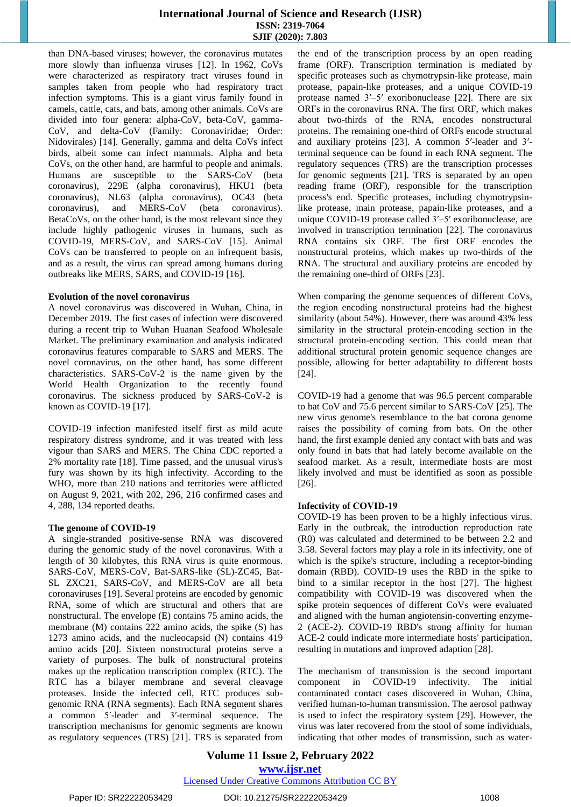than DNA-based viruses; however, the coronavirus mutates more slowly than influenza viruses [12]. In 1962, CoVs were characterized as respiratory tract viruses found in samples taken from people who had respiratory tract infection symptoms. This is a giant virus family found in camels, cattle, cats, and bats, among other animals. CoVs are divided into four genera: alpha-CoV, beta-CoV, gamma-CoV, and delta-CoV (Family: Coronaviridae; Order: Nidovirales) [14]. Generally, gamma and delta CoVs infect birds, albeit some can infect mammals. Alpha and beta CoVs, on the other hand, are harmful to people and animals. Humans are susceptible to the SARS-CoV (beta coronavirus), 229E (alpha coronavirus), HKU1 (beta coronavirus), NL63 (alpha coronavirus), OC43 (beta coronavirus), and MERS-CoV (beta coronavirus). BetaCoVs, on the other hand, is the most relevant since they include highly pathogenic viruses in humans, such as COVID-19, MERS-CoV, and SARS-CoV [15]. Animal CoVs can be transferred to people on an infrequent basis, and as a result, the virus can spread among humans during outbreaks like MERS, SARS, and COVID-19 [16].

#### **Evolution of the novel coronavirus**

A novel coronavirus was discovered in Wuhan, China, in December 2019. The first cases of infection were discovered during a recent trip to Wuhan Huanan Seafood Wholesale Market. The preliminary examination and analysis indicated coronavirus features comparable to SARS and MERS. The novel coronavirus, on the other hand, has some different characteristics. SARS-CoV-2 is the name given by the World Health Organization to the recently found coronavirus. The sickness produced by SARS-CoV-2 is known as COVID-19 [17].

COVID-19 infection manifested itself first as mild acute respiratory distress syndrome, and it was treated with less vigour than SARS and MERS. The China CDC reported a 2% mortality rate [18]. Time passed, and the unusual virus's fury was shown by its high infectivity. According to the WHO, more than 210 nations and territories were afflicted on August 9, 2021, with 202, 296, 216 confirmed cases and 4, 288, 134 reported deaths.

# **The genome of COVID‑19**

A single-stranded positive-sense RNA was discovered during the genomic study of the novel coronavirus. With a length of 30 kilobytes, this RNA virus is quite enormous. SARS-CoV, MERS-CoV, Bat-SARS-like (SL)-ZC45, Bat-SL ZXC21, SARS-CoV, and MERS-CoV are all beta coronaviruses [19]. Several proteins are encoded by genomic RNA, some of which are structural and others that are nonstructural. The envelope (E) contains 75 amino acids, the membrane (M) contains 222 amino acids, the spike (S) has 1273 amino acids, and the nucleocapsid (N) contains 419 amino acids [20]. Sixteen nonstructural proteins serve a variety of purposes. The bulk of nonstructural proteins makes up the replication transcription complex (RTC). The RTC has a bilayer membrane and several cleavage proteases. Inside the infected cell, RTC produces subgenomic RNA (RNA segments). Each RNA segment shares a common 5′-leader and 3′-terminal sequence. The transcription mechanisms for genomic segments are known as regulatory sequences (TRS) [21]. TRS is separated from the end of the transcription process by an open reading frame (ORF). Transcription termination is mediated by specific proteases such as chymotrypsin-like protease, main protease, papain-like proteases, and a unique COVID-19 protease named 3′–5′ exoribonuclease [22]. There are six ORFs in the coronavirus RNA. The first ORF, which makes about two-thirds of the RNA, encodes nonstructural proteins. The remaining one-third of ORFs encode structural and auxiliary proteins [23]. A common 5′-leader and 3′ terminal sequence can be found in each RNA segment. The regulatory sequences (TRS) are the transcription processes for genomic segments [21]. TRS is separated by an open reading frame (ORF), responsible for the transcription process's end. Specific proteases, including chymotrypsinlike protease, main protease, papain-like proteases, and a unique COVID-19 protease called 3′–5′ exoribonuclease, are involved in transcription termination [22]. The coronavirus RNA contains six ORF. The first ORF encodes the nonstructural proteins, which makes up two-thirds of the RNA. The structural and auxiliary proteins are encoded by the remaining one-third of ORFs [23].

When comparing the genome sequences of different CoVs, the region encoding nonstructural proteins had the highest similarity (about 54%). However, there was around 43% less similarity in the structural protein-encoding section in the structural protein-encoding section. This could mean that additional structural protein genomic sequence changes are possible, allowing for better adaptability to different hosts [24].

COVID-19 had a genome that was 96.5 percent comparable to bat CoV and 75.6 percent similar to SARS-CoV [25]. The new virus genome's resemblance to the bat corona genome raises the possibility of coming from bats. On the other hand, the first example denied any contact with bats and was only found in bats that had lately become available on the seafood market. As a result, intermediate hosts are most likely involved and must be identified as soon as possible [26].

# **Infectivity of COVID‑19**

COVID-19 has been proven to be a highly infectious virus. Early in the outbreak, the introduction reproduction rate (R0) was calculated and determined to be between 2.2 and 3.58. Several factors may play a role in its infectivity, one of which is the spike's structure, including a receptor-binding domain (RBD). COVID-19 uses the RBD in the spike to bind to a similar receptor in the host [27]. The highest compatibility with COVID-19 was discovered when the spike protein sequences of different CoVs were evaluated and aligned with the human angiotensin-converting enzyme-2 (ACE-2). COVID-19 RBD's strong affinity for human ACE-2 could indicate more intermediate hosts' participation, resulting in mutations and improved adaption [28].

The mechanism of transmission is the second important component in COVID-19 infectivity. The initial contaminated contact cases discovered in Wuhan, China, verified human-to-human transmission. The aerosol pathway is used to infect the respiratory system [29]. However, the virus was later recovered from the stool of some individuals, indicating that other modes of transmission, such as water-

# **Volume 11 Issue 2, February 2022 www.ijsr.net**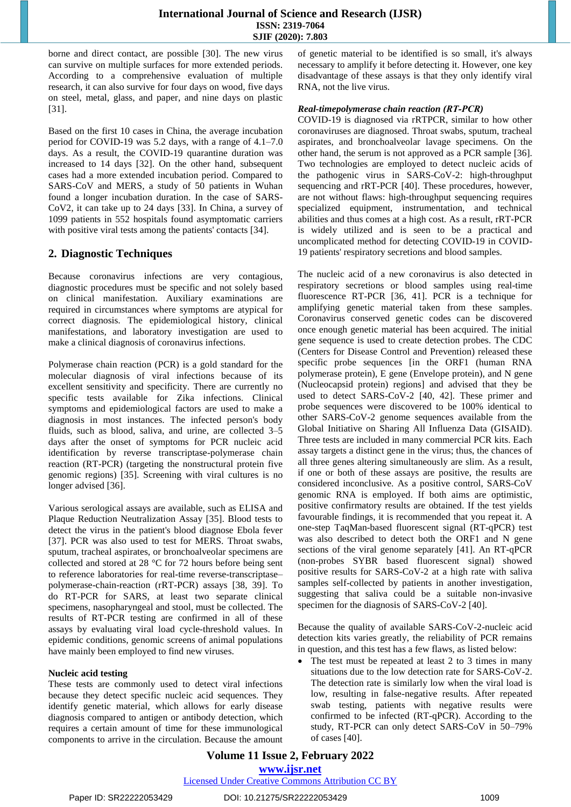borne and direct contact, are possible [30]. The new virus can survive on multiple surfaces for more extended periods. According to a comprehensive evaluation of multiple research, it can also survive for four days on wood, five days on steel, metal, glass, and paper, and nine days on plastic [31].

Based on the first 10 cases in China, the average incubation period for COVID-19 was 5.2 days, with a range of 4.1–7.0 days. As a result, the COVID-19 quarantine duration was increased to 14 days [32]. On the other hand, subsequent cases had a more extended incubation period. Compared to SARS-CoV and MERS, a study of 50 patients in Wuhan found a longer incubation duration. In the case of SARS-CoV2, it can take up to 24 days [33]. In China, a survey of 1099 patients in 552 hospitals found asymptomatic carriers with positive viral tests among the patients' contacts [34].

# **2. Diagnostic Techniques**

Because coronavirus infections are very contagious, diagnostic procedures must be specific and not solely based on clinical manifestation. Auxiliary examinations are required in circumstances where symptoms are atypical for correct diagnosis. The epidemiological history, clinical manifestations, and laboratory investigation are used to make a clinical diagnosis of coronavirus infections.

Polymerase chain reaction (PCR) is a gold standard for the molecular diagnosis of viral infections because of its excellent sensitivity and specificity. There are currently no specific tests available for Zika infections. Clinical symptoms and epidemiological factors are used to make a diagnosis in most instances. The infected person's body fluids, such as blood, saliva, and urine, are collected 3–5 days after the onset of symptoms for PCR nucleic acid identification by reverse transcriptase-polymerase chain reaction (RT-PCR) (targeting the nonstructural protein five genomic regions) [35]. Screening with viral cultures is no longer advised [36].

Various serological assays are available, such as ELISA and Plaque Reduction Neutralization Assay [35]. Blood tests to detect the virus in the patient's blood diagnose Ebola fever [37]. PCR was also used to test for MERS. Throat swabs, sputum, tracheal aspirates, or bronchoalveolar specimens are collected and stored at 28 °C for 72 hours before being sent to reference laboratories for real-time reverse-transcriptase– polymerase-chain-reaction (rRT-PCR) assays [38, 39]. To do RT-PCR for SARS, at least two separate clinical specimens, nasopharyngeal and stool, must be collected. The results of RT-PCR testing are confirmed in all of these assays by evaluating viral load cycle-threshold values. In epidemic conditions, genomic screens of animal populations have mainly been employed to find new viruses.

# **Nucleic acid testing**

These tests are commonly used to detect viral infections because they detect specific nucleic acid sequences. They identify genetic material, which allows for early disease diagnosis compared to antigen or antibody detection, which requires a certain amount of time for these immunological components to arrive in the circulation. Because the amount of genetic material to be identified is so small, it's always necessary to amplify it before detecting it. However, one key disadvantage of these assays is that they only identify viral RNA, not the live virus.

# *Real-timepolymerase chain reaction (RT‑PCR)*

COVID-19 is diagnosed via rRTPCR, similar to how other coronaviruses are diagnosed. Throat swabs, sputum, tracheal aspirates, and bronchoalveolar lavage specimens. On the other hand, the serum is not approved as a PCR sample [36]. Two technologies are employed to detect nucleic acids of the pathogenic virus in SARS-CoV-2: high-throughput sequencing and rRT-PCR [40]. These procedures, however, are not without flaws: high-throughput sequencing requires specialized equipment, instrumentation, and technical abilities and thus comes at a high cost. As a result, rRT-PCR is widely utilized and is seen to be a practical and uncomplicated method for detecting COVID-19 in COVID-19 patients' respiratory secretions and blood samples.

The nucleic acid of a new coronavirus is also detected in respiratory secretions or blood samples using real-time fluorescence RT-PCR [36, 41]. PCR is a technique for amplifying genetic material taken from these samples. Coronavirus conserved genetic codes can be discovered once enough genetic material has been acquired. The initial gene sequence is used to create detection probes. The CDC (Centers for Disease Control and Prevention) released these specific probe sequences [in the ORF1 (human RNA polymerase protein), E gene (Envelope protein), and N gene (Nucleocapsid protein) regions] and advised that they be used to detect SARS-CoV-2 [40, 42]. These primer and probe sequences were discovered to be 100% identical to other SARS-CoV-2 genome sequences available from the Global Initiative on Sharing All Influenza Data (GISAID). Three tests are included in many commercial PCR kits. Each assay targets a distinct gene in the virus; thus, the chances of all three genes altering simultaneously are slim. As a result, if one or both of these assays are positive, the results are considered inconclusive. As a positive control, SARS-CoV genomic RNA is employed. If both aims are optimistic, positive confirmatory results are obtained. If the test yields favourable findings, it is recommended that you repeat it. A one-step TaqMan-based fluorescent signal (RT-qPCR) test was also described to detect both the ORF1 and N gene sections of the viral genome separately [41]. An RT-qPCR (non-probes SYBR based fluorescent signal) showed positive results for SARS-CoV-2 at a high rate with saliva samples self-collected by patients in another investigation, suggesting that saliva could be a suitable non-invasive specimen for the diagnosis of SARS-CoV-2 [40].

Because the quality of available SARS-CoV-2-nucleic acid detection kits varies greatly, the reliability of PCR remains in question, and this test has a few flaws, as listed below:

 The test must be repeated at least 2 to 3 times in many situations due to the low detection rate for SARS-CoV-2. The detection rate is similarly low when the viral load is low, resulting in false-negative results. After repeated swab testing, patients with negative results were confirmed to be infected (RT-qPCR). According to the study, RT-PCR can only detect SARS-CoV in 50–79% of cases [40].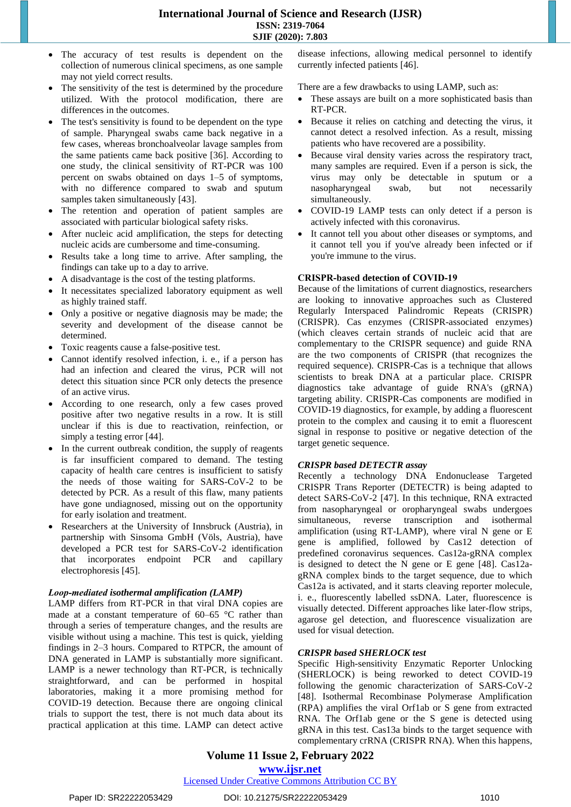- The accuracy of test results is dependent on the collection of numerous clinical specimens, as one sample may not yield correct results.
- The sensitivity of the test is determined by the procedure utilized. With the protocol modification, there are differences in the outcomes.
- The test's sensitivity is found to be dependent on the type of sample. Pharyngeal swabs came back negative in a few cases, whereas bronchoalveolar lavage samples from the same patients came back positive [36]. According to one study, the clinical sensitivity of RT-PCR was 100 percent on swabs obtained on days 1–5 of symptoms, with no difference compared to swab and sputum samples taken simultaneously [43].
- The retention and operation of patient samples are associated with particular biological safety risks.
- After nucleic acid amplification, the steps for detecting nucleic acids are cumbersome and time-consuming.
- Results take a long time to arrive. After sampling, the findings can take up to a day to arrive.
- A disadvantage is the cost of the testing platforms.
- It necessitates specialized laboratory equipment as well as highly trained staff.
- Only a positive or negative diagnosis may be made; the severity and development of the disease cannot be determined.
- Toxic reagents cause a false-positive test.
- Cannot identify resolved infection, i. e., if a person has had an infection and cleared the virus, PCR will not detect this situation since PCR only detects the presence of an active virus.
- According to one research, only a few cases proved positive after two negative results in a row. It is still unclear if this is due to reactivation, reinfection, or simply a testing error [44].
- In the current outbreak condition, the supply of reagents is far insufficient compared to demand. The testing capacity of health care centres is insufficient to satisfy the needs of those waiting for SARS-CoV-2 to be detected by PCR. As a result of this flaw, many patients have gone undiagnosed, missing out on the opportunity for early isolation and treatment.
- Researchers at the University of Innsbruck (Austria), in partnership with Sinsoma GmbH (Völs, Austria), have developed a PCR test for SARS-CoV-2 identification that incorporates endpoint PCR and capillary electrophoresis [45].

# *Loop‑mediated isothermal amplification (LAMP)*

LAMP differs from RT-PCR in that viral DNA copies are made at a constant temperature of 60–65 °C rather than through a series of temperature changes, and the results are visible without using a machine. This test is quick, yielding findings in 2–3 hours. Compared to RTPCR, the amount of DNA generated in LAMP is substantially more significant. LAMP is a newer technology than RT-PCR, is technically straightforward, and can be performed in hospital laboratories, making it a more promising method for COVID-19 detection. Because there are ongoing clinical trials to support the test, there is not much data about its practical application at this time. LAMP can detect active disease infections, allowing medical personnel to identify currently infected patients [46].

There are a few drawbacks to using LAMP, such as:

- These assays are built on a more sophisticated basis than RT-PCR.
- Because it relies on catching and detecting the virus, it cannot detect a resolved infection. As a result, missing patients who have recovered are a possibility.
- Because viral density varies across the respiratory tract, many samples are required. Even if a person is sick, the virus may only be detectable in sputum or a nasopharyngeal swab, but not necessarily simultaneously.
- COVID-19 LAMP tests can only detect if a person is actively infected with this coronavirus.
- It cannot tell you about other diseases or symptoms, and it cannot tell you if you've already been infected or if you're immune to the virus.

# **CRISPR‑based detection of COVID‑19**

Because of the limitations of current diagnostics, researchers are looking to innovative approaches such as Clustered Regularly Interspaced Palindromic Repeats (CRISPR) (CRISPR). Cas enzymes (CRISPR-associated enzymes) (which cleaves certain strands of nucleic acid that are complementary to the CRISPR sequence) and guide RNA are the two components of CRISPR (that recognizes the required sequence). CRISPR-Cas is a technique that allows scientists to break DNA at a particular place. CRISPR diagnostics take advantage of guide RNA's (gRNA) targeting ability. CRISPR-Cas components are modified in COVID-19 diagnostics, for example, by adding a fluorescent protein to the complex and causing it to emit a fluorescent signal in response to positive or negative detection of the target genetic sequence.

# *CRISPR based DETECTR assay*

Recently a technology DNA Endonuclease Targeted CRISPR Trans Reporter (DETECTR) is being adapted to detect SARS-CoV-2 [47]. In this technique, RNA extracted from nasopharyngeal or oropharyngeal swabs undergoes simultaneous, reverse transcription and isothermal amplification (using RT-LAMP), where viral N gene or E gene is amplified, followed by Cas12 detection of predefined coronavirus sequences. Cas12a-gRNA complex is designed to detect the N gene or E gene  $[48]$ . Cas12agRNA complex binds to the target sequence, due to which Cas12a is activated, and it starts cleaving reporter molecule, i. e., fluorescently labelled ssDNA. Later, fluorescence is visually detected. Different approaches like later-flow strips, agarose gel detection, and fluorescence visualization are used for visual detection.

# *CRISPR based SHERLOCK test*

Specific High-sensitivity Enzymatic Reporter Unlocking (SHERLOCK) is being reworked to detect COVID-19 following the genomic characterization of SARS-CoV-2 [48]. Isothermal Recombinase Polymerase Amplification (RPA) amplifies the viral Orf1ab or S gene from extracted RNA. The Orf1ab gene or the S gene is detected using gRNA in this test. Cas13a binds to the target sequence with complementary crRNA (CRISPR RNA). When this happens,

# **Volume 11 Issue 2, February 2022 www.ijsr.net**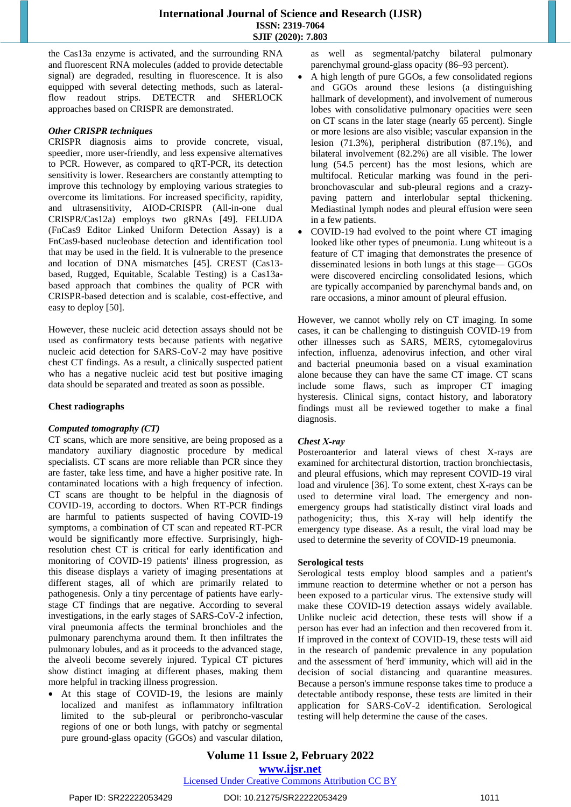the Cas13a enzyme is activated, and the surrounding RNA and fluorescent RNA molecules (added to provide detectable signal) are degraded, resulting in fluorescence. It is also equipped with several detecting methods, such as lateralflow readout strips. DETECTR and SHERLOCK approaches based on CRISPR are demonstrated.

# *Other CRISPR techniques*

CRISPR diagnosis aims to provide concrete, visual, speedier, more user-friendly, and less expensive alternatives to PCR. However, as compared to qRT-PCR, its detection sensitivity is lower. Researchers are constantly attempting to improve this technology by employing various strategies to overcome its limitations. For increased specificity, rapidity, and ultrasensitivity, AIOD-CRISPR (All-in-one dual CRISPR/Cas12a) employs two gRNAs [49]. FELUDA (FnCas9 Editor Linked Uniform Detection Assay) is a FnCas9-based nucleobase detection and identification tool that may be used in the field. It is vulnerable to the presence and location of DNA mismatches [45]. CREST (Cas13 based, Rugged, Equitable, Scalable Testing) is a Cas13abased approach that combines the quality of PCR with CRISPR-based detection and is scalable, cost-effective, and easy to deploy [50].

However, these nucleic acid detection assays should not be used as confirmatory tests because patients with negative nucleic acid detection for SARS-CoV-2 may have positive chest CT findings. As a result, a clinically suspected patient who has a negative nucleic acid test but positive imaging data should be separated and treated as soon as possible.

## **Chest radiographs**

#### *Computed tomography (CT)*

CT scans, which are more sensitive, are being proposed as a mandatory auxiliary diagnostic procedure by medical specialists. CT scans are more reliable than PCR since they are faster, take less time, and have a higher positive rate. In contaminated locations with a high frequency of infection. CT scans are thought to be helpful in the diagnosis of COVID-19, according to doctors. When RT-PCR findings are harmful to patients suspected of having COVID-19 symptoms, a combination of CT scan and repeated RT-PCR would be significantly more effective. Surprisingly, highresolution chest CT is critical for early identification and monitoring of COVID-19 patients' illness progression, as this disease displays a variety of imaging presentations at different stages, all of which are primarily related to pathogenesis. Only a tiny percentage of patients have earlystage CT findings that are negative. According to several investigations, in the early stages of SARS-CoV-2 infection, viral pneumonia affects the terminal bronchioles and the pulmonary parenchyma around them. It then infiltrates the pulmonary lobules, and as it proceeds to the advanced stage, the alveoli become severely injured. Typical CT pictures show distinct imaging at different phases, making them more helpful in tracking illness progression.

 At this stage of COVID-19, the lesions are mainly localized and manifest as inflammatory infiltration limited to the sub-pleural or peribroncho-vascular regions of one or both lungs, with patchy or segmental pure ground-glass opacity (GGOs) and vascular dilation, as well as segmental/patchy bilateral pulmonary parenchymal ground-glass opacity (86–93 percent).

- A high length of pure GGOs, a few consolidated regions and GGOs around these lesions (a distinguishing hallmark of development), and involvement of numerous lobes with consolidative pulmonary opacities were seen on CT scans in the later stage (nearly 65 percent). Single or more lesions are also visible; vascular expansion in the lesion (71.3%), peripheral distribution (87.1%), and bilateral involvement (82.2%) are all visible. The lower lung (54.5 percent) has the most lesions, which are multifocal. Reticular marking was found in the peribronchovascular and sub-pleural regions and a crazypaving pattern and interlobular septal thickening. Mediastinal lymph nodes and pleural effusion were seen in a few patients.
- COVID-19 had evolved to the point where CT imaging looked like other types of pneumonia. Lung whiteout is a feature of CT imaging that demonstrates the presence of disseminated lesions in both lungs at this stage— GGOs were discovered encircling consolidated lesions, which are typically accompanied by parenchymal bands and, on rare occasions, a minor amount of pleural effusion.

However, we cannot wholly rely on CT imaging. In some cases, it can be challenging to distinguish COVID-19 from other illnesses such as SARS, MERS, cytomegalovirus infection, influenza, adenovirus infection, and other viral and bacterial pneumonia based on a visual examination alone because they can have the same CT image. CT scans include some flaws, such as improper CT imaging hysteresis. Clinical signs, contact history, and laboratory findings must all be reviewed together to make a final diagnosis.

#### *Chest X‑ray*

Posteroanterior and lateral views of chest X-rays are examined for architectural distortion, traction bronchiectasis, and pleural effusions, which may represent COVID-19 viral load and virulence [36]. To some extent, chest X-rays can be used to determine viral load. The emergency and nonemergency groups had statistically distinct viral loads and pathogenicity; thus, this X-ray will help identify the emergency type disease. As a result, the viral load may be used to determine the severity of COVID-19 pneumonia.

#### **Serological tests**

Serological tests employ blood samples and a patient's immune reaction to determine whether or not a person has been exposed to a particular virus. The extensive study will make these COVID-19 detection assays widely available. Unlike nucleic acid detection, these tests will show if a person has ever had an infection and then recovered from it. If improved in the context of COVID-19, these tests will aid in the research of pandemic prevalence in any population and the assessment of 'herd' immunity, which will aid in the decision of social distancing and quarantine measures. Because a person's immune response takes time to produce a detectable antibody response, these tests are limited in their application for SARS-CoV-2 identification. Serological testing will help determine the cause of the cases.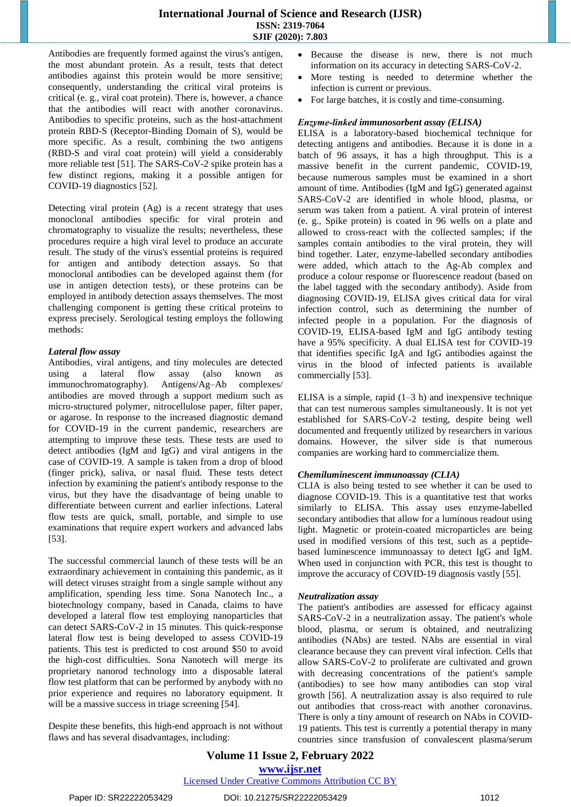Antibodies are frequently formed against the virus's antigen, the most abundant protein. As a result, tests that detect antibodies against this protein would be more sensitive; consequently, understanding the critical viral proteins is critical (e. g., viral coat protein). There is, however, a chance that the antibodies will react with another coronavirus. Antibodies to specific proteins, such as the host-attachment protein RBD-S (Receptor-Binding Domain of S), would be more specific. As a result, combining the two antigens (RBD-S and viral coat protein) will yield a considerably more reliable test [51]. The SARS-CoV-2 spike protein has a few distinct regions, making it a possible antigen for COVID-19 diagnostics [52].

Detecting viral protein (Ag) is a recent strategy that uses monoclonal antibodies specific for viral protein and chromatography to visualize the results; nevertheless, these procedures require a high viral level to produce an accurate result. The study of the virus's essential proteins is required for antigen and antibody detection assays. So that monoclonal antibodies can be developed against them (for use in antigen detection tests), or these proteins can be employed in antibody detection assays themselves. The most challenging component is getting these critical proteins to express precisely. Serological testing employs the following methods:

# *Lateral flow assay*

Antibodies, viral antigens, and tiny molecules are detected using a lateral flow assay (also known as immunochromatography). Antigens/Ag–Ab complexes/ antibodies are moved through a support medium such as micro-structured polymer, nitrocellulose paper, filter paper, or agarose. In response to the increased diagnostic demand for COVID-19 in the current pandemic, researchers are attempting to improve these tests. These tests are used to detect antibodies (IgM and IgG) and viral antigens in the case of COVID-19. A sample is taken from a drop of blood (finger prick), saliva, or nasal fluid. These tests detect infection by examining the patient's antibody response to the virus, but they have the disadvantage of being unable to differentiate between current and earlier infections. Lateral flow tests are quick, small, portable, and simple to use examinations that require expert workers and advanced labs [53].

The successful commercial launch of these tests will be an extraordinary achievement in containing this pandemic, as it will detect viruses straight from a single sample without any amplification, spending less time. Sona Nanotech Inc., a biotechnology company, based in Canada, claims to have developed a lateral flow test employing nanoparticles that can detect SARS-CoV-2 in 15 minutes. This quick-response lateral flow test is being developed to assess COVID-19 patients. This test is predicted to cost around \$50 to avoid the high-cost difficulties. Sona Nanotech will merge its proprietary nanorod technology into a disposable lateral flow test platform that can be performed by anybody with no prior experience and requires no laboratory equipment. It will be a massive success in triage screening [54].

Despite these benefits, this high-end approach is not without flaws and has several disadvantages, including:

- Because the disease is new, there is not much information on its accuracy in detecting SARS-CoV-2.
- More testing is needed to determine whether the infection is current or previous.
- For large batches, it is costly and time-consuming.

# *Enzyme‑linked immunosorbent assay (ELISA)*

ELISA is a laboratory-based biochemical technique for detecting antigens and antibodies. Because it is done in a batch of 96 assays, it has a high throughput. This is a massive benefit in the current pandemic, COVID-19, because numerous samples must be examined in a short amount of time. Antibodies (IgM and IgG) generated against SARS-CoV-2 are identified in whole blood, plasma, or serum was taken from a patient. A viral protein of interest (e. g., Spike protein) is coated in 96 wells on a plate and allowed to cross-react with the collected samples; if the samples contain antibodies to the viral protein, they will bind together. Later, enzyme-labelled secondary antibodies were added, which attach to the Ag-Ab complex and produce a colour response or fluorescence readout (based on the label tagged with the secondary antibody). Aside from diagnosing COVID-19, ELISA gives critical data for viral infection control, such as determining the number of infected people in a population. For the diagnosis of COVID-19, ELISA-based IgM and IgG antibody testing have a 95% specificity. A dual ELISA test for COVID-19 that identifies specific IgA and IgG antibodies against the virus in the blood of infected patients is available commercially [53].

ELISA is a simple, rapid  $(1-3 h)$  and inexpensive technique that can test numerous samples simultaneously. It is not yet established for SARS-CoV-2 testing, despite being well documented and frequently utilized by researchers in various domains. However, the silver side is that numerous companies are working hard to commercialize them.

# *Chemiluminescent immunoassay (CLIA)*

CLIA is also being tested to see whether it can be used to diagnose COVID-19. This is a quantitative test that works similarly to ELISA. This assay uses enzyme-labelled secondary antibodies that allow for a luminous readout using light. Magnetic or protein-coated microparticles are being used in modified versions of this test, such as a peptidebased luminescence immunoassay to detect IgG and IgM. When used in conjunction with PCR, this test is thought to improve the accuracy of COVID-19 diagnosis vastly [55].

# *Neutralization assay*

The patient's antibodies are assessed for efficacy against SARS-CoV-2 in a neutralization assay. The patient's whole blood, plasma, or serum is obtained, and neutralizing antibodies (NAbs) are tested. NAbs are essential in viral clearance because they can prevent viral infection. Cells that allow SARS-CoV-2 to proliferate are cultivated and grown with decreasing concentrations of the patient's sample (antibodies) to see how many antibodies can stop viral growth [56]. A neutralization assay is also required to rule out antibodies that cross-react with another coronavirus. There is only a tiny amount of research on NAbs in COVID-19 patients. This test is currently a potential therapy in many countries since transfusion of convalescent plasma/serum

**Volume 11 Issue 2, February 2022 www.ijsr.net**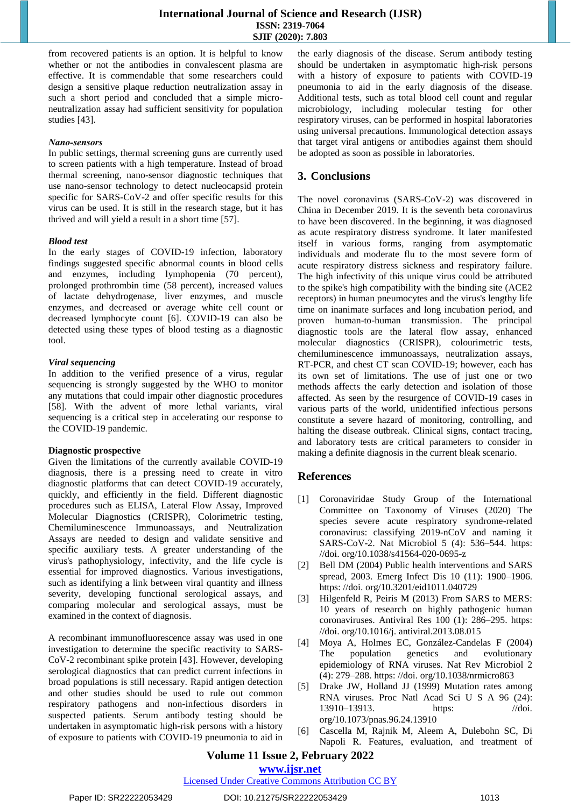from recovered patients is an option. It is helpful to know whether or not the antibodies in convalescent plasma are effective. It is commendable that some researchers could design a sensitive plaque reduction neutralization assay in such a short period and concluded that a simple microneutralization assay had sufficient sensitivity for population studies [43].

## *Nano‑sensors*

In public settings, thermal screening guns are currently used to screen patients with a high temperature. Instead of broad thermal screening, nano-sensor diagnostic techniques that use nano-sensor technology to detect nucleocapsid protein specific for SARS-CoV-2 and offer specific results for this virus can be used. It is still in the research stage, but it has thrived and will yield a result in a short time [57].

# *Blood test*

In the early stages of COVID-19 infection, laboratory findings suggested specific abnormal counts in blood cells and enzymes, including lymphopenia (70 percent), prolonged prothrombin time (58 percent), increased values of lactate dehydrogenase, liver enzymes, and muscle enzymes, and decreased or average white cell count or decreased lymphocyte count [6]. COVID-19 can also be detected using these types of blood testing as a diagnostic tool.

# *Viral sequencing*

In addition to the verified presence of a virus, regular sequencing is strongly suggested by the WHO to monitor any mutations that could impair other diagnostic procedures [58]. With the advent of more lethal variants, viral sequencing is a critical step in accelerating our response to the COVID-19 pandemic.

# **Diagnostic prospective**

Given the limitations of the currently available COVID-19 diagnosis, there is a pressing need to create in vitro diagnostic platforms that can detect COVID-19 accurately, quickly, and efficiently in the field. Different diagnostic procedures such as ELISA, Lateral Flow Assay, Improved Molecular Diagnostics (CRISPR), Colorimetric testing, Chemiluminescence Immunoassays, and Neutralization Assays are needed to design and validate sensitive and specific auxiliary tests. A greater understanding of the virus's pathophysiology, infectivity, and the life cycle is essential for improved diagnostics. Various investigations, such as identifying a link between viral quantity and illness severity, developing functional serological assays, and comparing molecular and serological assays, must be examined in the context of diagnosis.

A recombinant immunofluorescence assay was used in one investigation to determine the specific reactivity to SARS-CoV-2 recombinant spike protein [43]. However, developing serological diagnostics that can predict current infections in broad populations is still necessary. Rapid antigen detection and other studies should be used to rule out common respiratory pathogens and non-infectious disorders in suspected patients. Serum antibody testing should be undertaken in asymptomatic high-risk persons with a history of exposure to patients with COVID-19 pneumonia to aid in the early diagnosis of the disease. Serum antibody testing should be undertaken in asymptomatic high-risk persons with a history of exposure to patients with COVID-19 pneumonia to aid in the early diagnosis of the disease. Additional tests, such as total blood cell count and regular microbiology, including molecular testing for other respiratory viruses, can be performed in hospital laboratories using universal precautions. Immunological detection assays that target viral antigens or antibodies against them should be adopted as soon as possible in laboratories.

# **3. Conclusions**

The novel coronavirus (SARS-CoV-2) was discovered in China in December 2019. It is the seventh beta coronavirus to have been discovered. In the beginning, it was diagnosed as acute respiratory distress syndrome. It later manifested itself in various forms, ranging from asymptomatic individuals and moderate flu to the most severe form of acute respiratory distress sickness and respiratory failure. The high infectivity of this unique virus could be attributed to the spike's high compatibility with the binding site (ACE2 receptors) in human pneumocytes and the virus's lengthy life time on inanimate surfaces and long incubation period, and proven human-to-human transmission. The principal diagnostic tools are the lateral flow assay, enhanced molecular diagnostics (CRISPR), colourimetric tests, chemiluminescence immunoassays, neutralization assays, RT-PCR, and chest CT scan COVID-19; however, each has its own set of limitations. The use of just one or two methods affects the early detection and isolation of those affected. As seen by the resurgence of COVID-19 cases in various parts of the world, unidentified infectious persons constitute a severe hazard of monitoring, controlling, and halting the disease outbreak. Clinical signs, contact tracing, and laboratory tests are critical parameters to consider in making a definite diagnosis in the current bleak scenario.

# **References**

- [1] Coronaviridae Study Group of the International Committee on Taxonomy of Viruses (2020) The species severe acute respiratory syndrome-related coronavirus: classifying 2019-nCoV and naming it SARS-CoV-2. Nat Microbiol 5 (4): 536–544. [https:](https://doi.org/10.1038/s41564-020-0695-z)  [//doi. org/10.1038/s41564-020-0695-z](https://doi.org/10.1038/s41564-020-0695-z)
- [2] Bell DM (2004) Public health interventions and SARS spread, 2003. Emerg Infect Dis 10 (11): 1900–1906. [https: //doi. org/10.3201/eid1011.040729](https://doi.org/10.3201/eid1011.040729)
- [3] Hilgenfeld R, Peiris M (2013) From SARS to MERS: 10 years of research on highly pathogenic human coronaviruses. Antiviral Res 100 (1): 286–295. [https:](https://doi.org/10.1016/j.antiviral.2013.08.015)  [//doi. org/10.1016/j. antiviral.2013.08.015](https://doi.org/10.1016/j.antiviral.2013.08.015)
- [4] Moya A, Holmes EC, González-Candelas F (2004) The population genetics and evolutionary epidemiology of RNA viruses. Nat Rev Microbiol 2 (4): 279–288. [https: //doi. org/10.1038/nrmicro863](https://doi.org/10.1038/nrmicro863)
- [5] Drake JW, Holland JJ (1999) Mutation rates among RNA viruses. Proc Natl Acad Sci U S A 96 (24): 13910–13913. https: //doi. [org/10.1073/pnas.96.24.](https://doi.org/10.1073/pnas.96.24)13910
- [6] Cascella M, Rajnik M, Aleem A, Dulebohn SC, Di Napoli R. Features, evaluation, and treatment of

# **Volume 11 Issue 2, February 2022**

**www.ijsr.net**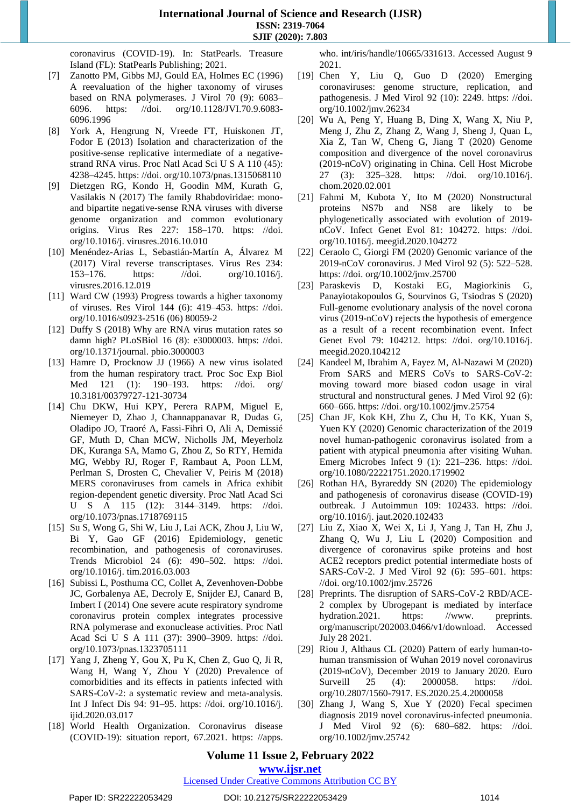coronavirus (COVID-19). In: StatPearls. Treasure Island (FL): StatPearls Publishing; 2021.

- [7] Zanotto PM, Gibbs MJ, Gould EA, Holmes EC (1996) A reevaluation of the higher taxonomy of viruses based on RNA polymerases. J Virol 70 (9): 6083– 6096. [https: //doi. org/10.1128/JVI.70.9.6083-](https://doi.org/10.1128/JVI.70.9.6083-6096.1996) [6096.1996](https://doi.org/10.1128/JVI.70.9.6083-6096.1996)
- [8] York A, Hengrung N, Vreede FT, Huiskonen JT, Fodor E (2013) Isolation and characterization of the positive-sense replicative intermediate of a negativestrand RNA virus. Proc Natl Acad Sci U S A 110 (45): 4238–4245. [https: //doi. org/10.1073/pnas.1315068110](https://doi.org/10.1073/pnas.1315068110)
- [9] Dietzgen RG, Kondo H, Goodin MM, Kurath G, Vasilakis N (2017) The family Rhabdoviridae: monoand bipartite negative-sense RNA viruses with diverse genome organization and common evolutionary origins. Virus Res 227: 158–170. [https: //doi.](https://doi.org/10.1016/j.virusres.2016.10.010)  [org/10.1016/j. virusres.2016.10.010](https://doi.org/10.1016/j.virusres.2016.10.010)
- [10] Menéndez-Arias L, Sebastián-Martín A, Álvarez M (2017) Viral reverse transcriptases. Virus Res 234: 153–176. [https: //doi. org/10.1016/j.](https://doi.org/10.1016/j.virusres)  [virusres.](https://doi.org/10.1016/j.virusres)2016.12.019
- [11] Ward CW (1993) Progress towards a higher taxonomy of viruses. Res Virol 144 (6): 419–453. [https: //doi.](https://doi.org/10.1016/s0923-2516(06)80059-2)  [org/10.1016/s0923-2516](https://doi.org/10.1016/s0923-2516(06)80059-2) (06) 80059-2
- [12] Duffy S (2018) Why are RNA virus mutation rates so damn high? PLoSBiol 16 (8): e3000003. [https: //doi.](https://doi.org/10.1371/journal.pbio.3000003)  [org/10.1371/journal. pbio.3000003](https://doi.org/10.1371/journal.pbio.3000003)
- [13] Hamre D, Procknow JJ (1966) A new virus isolated from the human respiratory tract. Proc Soc Exp Biol Med 121 (1): 190–193. [https: //doi. org/](https://doi.org/) 10.3181/00379727-121-30734
- [14] Chu DKW, Hui KPY, Perera RAPM, Miguel E, Niemeyer D, Zhao J, Channappanavar R, Dudas G, Oladipo JO, Traoré A, Fassi-Fihri O, Ali A, Demissié GF, Muth D, Chan MCW, Nicholls JM, Meyerholz DK, Kuranga SA, Mamo G, Zhou Z, So RTY, Hemida MG, Webby RJ, Roger F, Rambaut A, Poon LLM, Perlman S, Drosten C, Chevalier V, Peiris M (2018) MERS coronaviruses from camels in Africa exhibit region-dependent genetic diversity. Proc Natl Acad Sci U S A 115 (12): 3144–3149. [https: //doi.](https://doi.org/10.1073/pnas)  [org/10.1073/pnas.](https://doi.org/10.1073/pnas)1718769115
- [15] Su S, Wong G, Shi W, Liu J, Lai ACK, Zhou J, Liu W, Bi Y, Gao GF (2016) Epidemiology, genetic recombination, and pathogenesis of coronaviruses. Trends Microbiol 24 (6): 490–502. [https: //doi.](https://doi.org/10.1016/j.tim.2016.03.003)  [org/10.1016/j. tim.2016.03.003](https://doi.org/10.1016/j.tim.2016.03.003)
- [16] Subissi L, Posthuma CC, Collet A, Zevenhoven-Dobbe JC, Gorbalenya AE, Decroly E, Snijder EJ, Canard B, Imbert I (2014) One severe acute respiratory syndrome coronavirus protein complex integrates processive RNA polymerase and exonuclease activities. Proc Natl Acad Sci U S A 111 (37): 3900–3909. [https: //doi.](https://doi.org/10.1073/pnas.1323705111)  [org/10.1073/pnas.1323705111](https://doi.org/10.1073/pnas.1323705111)
- [17] Yang J, Zheng Y, Gou X, Pu K, Chen Z, Guo Q, Ji R, Wang H, Wang Y, Zhou Y (2020) Prevalence of comorbidities and its effects in patients infected with SARS-CoV-2: a systematic review and meta-analysis. Int J Infect Dis 94: 91–95. [https: //doi. org/10.1016/j.](https://doi.org/10.1016/j.ijid.2020.03.017)  [ijid.2020.03.017](https://doi.org/10.1016/j.ijid.2020.03.017)
- [18] World Health Organization. Coronavirus disease (COVID-19): situation report, 67.2021. [https: //apps.](https://apps.who.int/iris/handle/10665/331613)

[who. int/iris/handle/10665/331613.](https://apps.who.int/iris/handle/10665/331613) Accessed August 9 2021.

- [19] Chen Y, Liu Q, Guo D (2020) Emerging coronaviruses: genome structure, replication, and pathogenesis. J Med Virol 92 (10): 2249. [https: //doi.](https://doi/) org/10.1002/jmv.26234
- [20] Wu A, Peng Y, Huang B, Ding X, Wang X, Niu P, Meng J, Zhu Z, Zhang Z, Wang J, Sheng J, Quan L, Xia Z, Tan W, Cheng G, Jiang T (2020) Genome composition and divergence of the novel coronavirus (2019-nCoV) originating in China. Cell Host Microbe 27 (3): 325–328. [https: //doi. org/10.1016/j.](https://doi.org/10.1016/j.chom.2020.02.001)  [chom.2020.02.001](https://doi.org/10.1016/j.chom.2020.02.001)
- [21] Fahmi M, Kubota Y, Ito M (2020) Nonstructural proteins NS7b and NS8 are likely to be phylogenetically associated with evolution of 2019 nCoV. Infect Genet Evol 81: 104272. [https: //doi.](https://doi.org/10.1016/j.meegid.2020.104272)  [org/10.1016/j. meegid.2020.104272](https://doi.org/10.1016/j.meegid.2020.104272)
- [22] Ceraolo C, Giorgi FM (2020) Genomic variance of the 2019-nCoV coronavirus. J Med Virol 92 (5): 522–528. [https: //doi. org/10.1002/jmv.25700](https://doi.org/10.1002/jmv.25700)
- [23] Paraskevis D, Kostaki EG, Magiorkinis G, Panayiotakopoulos G, Sourvinos G, Tsiodras S (2020) Full-genome evolutionary analysis of the novel corona virus (2019-nCoV) rejects the hypothesis of emergence as a result of a recent recombination event. Infect Genet Evol 79: 104212. [https: //doi. org/10.1016/j.](https://doi.org/10.1016/j.meegid.2020.104212)  [meegid.2020.104212](https://doi.org/10.1016/j.meegid.2020.104212)
- [24] Kandeel M, Ibrahim A, Fayez M, Al-Nazawi M (2020) From SARS and MERS CoVs to SARS-CoV-2: moving toward more biased codon usage in viral structural and nonstructural genes. J Med Virol 92 (6): 660–666. [https: //doi. org/10.1002/jmv.25754](https://doi.org/10.1002/jmv.25754)
- [25] Chan JF, Kok KH, Zhu Z, Chu H, To KK, Yuan S, Yuen KY (2020) Genomic characterization of the 2019 novel human-pathogenic coronavirus isolated from a patient with atypical pneumonia after visiting Wuhan. Emerg Microbes Infect 9 (1): 221–236. [https: //doi.](https://doi.org/10.1080/22221751.2020.1719902)  [org/10.1080/22221751.2020.1719902](https://doi.org/10.1080/22221751.2020.1719902)
- [26] Rothan HA, Byrareddy SN (2020) The epidemiology and pathogenesis of coronavirus disease (COVID-19) outbreak. J Autoimmun 109: 102433. [https: //doi.](https://doi.org/10.1016/j.jaut.2020.102433)  [org/10.1016/j. jaut.2020.102433](https://doi.org/10.1016/j.jaut.2020.102433)
- [27] Liu Z, Xiao X, Wei X, Li J, Yang J, Tan H, Zhu J, Zhang Q, Wu J, Liu L (2020) Composition and divergence of coronavirus spike proteins and host ACE2 receptors predict potential intermediate hosts of SARS-CoV-2. J Med Virol 92 (6): 595–601. [https:](https://doi.org/10.1002/jmv.25726)  [//doi. org/10.1002/jmv.25726](https://doi.org/10.1002/jmv.25726)
- [28] Preprints. The disruption of SARS-CoV-2 RBD/ACE-2 complex by Ubrogepant is mediated by interface hydration.2021. [https: //www.](https://www/) preprints. org/manuscript/202003.0466/v1/download. Accessed July 28 2021.
- [29] Riou J, Althaus CL (2020) Pattern of early human-tohuman transmission of Wuhan 2019 novel coronavirus (2019-nCoV), December 2019 to January 2020. Euro Surveill 25 (4): 2000058. https: //doi. [org/10.2807/1560-7917. ES.2020.25.4.2000058](https://doi.org/10.2807/1560-7917.ES.2020.25.4.2000058)
- [30] Zhang J, Wang S, Xue Y (2020) Fecal specimen diagnosis 2019 novel coronavirus-infected pneumonia. J Med Virol 92 (6): 680–682. [https: //doi.](https://doi.org/10.1002/jmv.25742)  [org/10.1002/jmv.25742](https://doi.org/10.1002/jmv.25742)

# **Volume 11 Issue 2, February 2022 www.ijsr.net**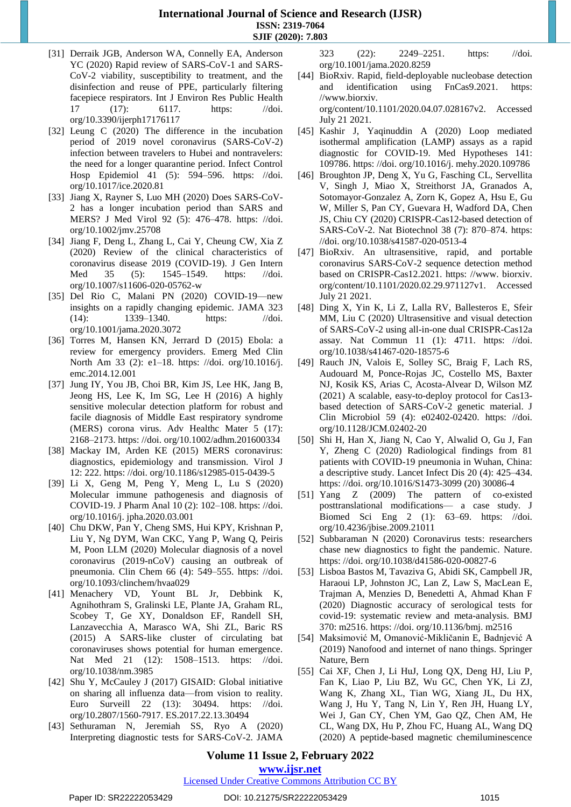- [31] Derraik JGB, Anderson WA, Connelly EA, Anderson YC (2020) Rapid review of SARS-CoV-1 and SARS-CoV-2 viability, susceptibility to treatment, and the disinfection and reuse of PPE, particularly filtering facepiece respirators. Int J Environ Res Public Health 17 (17): 6117. https: //doi. [org/10.3390/ijerph17176117](https://doi.org/10.3390/ijerph17176117)
- [32] Leung C (2020) The difference in the incubation period of 2019 novel coronavirus (SARS-CoV-2) infection between travelers to Hubei and nontravelers: the need for a longer quarantine period. Infect Control Hosp Epidemiol 41 (5): 594–596. [https: //doi.](https://doi.org/10.1017/ice.2020.81)  [org/10.1017/ice.2020.81](https://doi.org/10.1017/ice.2020.81)
- [33] Jiang X, Rayner S, Luo MH (2020) Does SARS-CoV-2 has a longer incubation period than SARS and MERS? J Med Virol 92 (5): 476–478. [https: //doi.](https://doi.org/10.1002/jmv.25708)  [org/10.1002/jmv.25708](https://doi.org/10.1002/jmv.25708)
- [34] Jiang F, Deng L, Zhang L, Cai Y, Cheung CW, Xia Z (2020) Review of the clinical characteristics of coronavirus disease 2019 (COVID-19). J Gen Intern Med 35 (5): 1545–1549. [https: //doi.](https://doi.org/10.1007/s11606-020-05762-w)  [org/10.1007/s11606-020-05762-w](https://doi.org/10.1007/s11606-020-05762-w)
- [35] Del Rio C, Malani PN (2020) COVID-19—new insights on a rapidly changing epidemic. JAMA 323 (14): 1339–1340. [https: //doi.](https://doi.org/10.1001/jama.2020.3072)  [org/10.1001/jama.2020.3072](https://doi.org/10.1001/jama.2020.3072)
- [36] Torres M, Hansen KN, Jerrard D (2015) Ebola: a review for emergency providers. Emerg Med Clin North Am 33 (2): e1–18. [https: //doi. org/10.1016/j.](https://doi.org/10.1016/j.emc.2014.12.001)  [emc.2014.12.001](https://doi.org/10.1016/j.emc.2014.12.001)
- [37] Jung IY, You JB, Choi BR, Kim JS, Lee HK, Jang B, Jeong HS, Lee K, Im SG, Lee H (2016) A highly sensitive molecular detection platform for robust and facile diagnosis of Middle East respiratory syndrome (MERS) corona virus. Adv Healthc Mater 5 (17): 2168–2173. [https: //doi. org/10.1002/adhm.201600334](https://doi.org/10.1002/adhm.201600334)
- [38] Mackay IM, Arden KE (2015) MERS coronavirus: diagnostics, epidemiology and transmission. Virol J 12: 222. [https: //doi. org/10.1186/s12985-015-0439-5](https://doi.org/10.1186/s12985-015-0439-5)
- [39] Li X, Geng M, Peng Y, Meng L, Lu S (2020) Molecular immune pathogenesis and diagnosis of COVID-19. J Pharm Anal 10 (2): 102–108. [https: //doi.](https://doi.org/10.1016/j.jpha.2020.03.001)  [org/10.1016/j. jpha.2020.03.001](https://doi.org/10.1016/j.jpha.2020.03.001)
- [40] Chu DKW, Pan Y, Cheng SMS, Hui KPY, Krishnan P, Liu Y, Ng DYM, Wan CKC, Yang P, Wang Q, Peiris M, Poon LLM (2020) Molecular diagnosis of a novel coronavirus (2019-nCoV) causing an outbreak of pneumonia. Clin Chem 66 (4): 549–555. [https: //doi.](https://doi.org/10.1093/clinchem/hvaa029)  [org/10.1093/clinchem/hvaa029](https://doi.org/10.1093/clinchem/hvaa029)
- [41] Menachery VD, Yount BL Jr, Debbink K, Agnihothram S, Gralinski LE, Plante JA, Graham RL, Scobey T, Ge XY, Donaldson EF, Randell SH, Lanzavecchia A, Marasco WA, Shi ZL, Baric RS (2015) A SARS-like cluster of circulating bat coronaviruses shows potential for human emergence. Nat Med 21 (12): 1508-1513. https: //doi. [org/10.1038/nm.3985](https://doi.org/10.1038/nm.3985)
- [42] Shu Y, McCauley J (2017) GISAID: Global initiative on sharing all influenza data—from vision to reality. Euro Surveill 22 (13): 30494. [https: //doi.](https://doi.org/10.2807/1560-7917.ES.2017.22.13.30494)  [org/10.2807/1560-7917. ES.2017.22.13.30494](https://doi.org/10.2807/1560-7917.ES.2017.22.13.30494)
- [43] Sethuraman N, Jeremiah SS, Ryo A (2020) Interpreting diagnostic tests for SARS-CoV-2. JAMA

323 (22): 2249–2251. [https: //doi.](https://doi.org/10.1001/jama.2020.8259)  [org/10.1001/jama.2020.8259](https://doi.org/10.1001/jama.2020.8259)

- [44] BioRxiv. Rapid, field-deployable nucleobase detection and identification using FnCas9.2021. [https:](https://www.biorxiv.org/content/10.1101/2020.04.07.028167v2.%20Accessed%2021%20July%202021)  [//www.biorxiv.](https://www.biorxiv.org/content/10.1101/2020.04.07.028167v2.%20Accessed%2021%20July%202021)  [org/content/10.1101/2020.04.07.028167v2. Accessed](https://www.biorxiv.org/content/10.1101/2020.04.07.028167v2.%20Accessed%2021%20July%202021) July 21 [2021.](https://www.biorxiv.org/content/10.1101/2020.04.07.028167v2.%20Accessed%2021%20July%202021)
- [45] Kashir J, Yaqinuddin A (2020) Loop mediated isothermal amplification (LAMP) assays as a rapid diagnostic for COVID-19. Med Hypotheses 141: 109786. [https: //doi. org/10.1016/j. mehy.2020.109786](https://doi.org/10.1016/j.mehy.2020.109786)
- [46] Broughton JP, Deng X, Yu G, Fasching CL, Servellita V, Singh J, Miao X, Streithorst JA, Granados A, Sotomayor-Gonzalez A, Zorn K, Gopez A, Hsu E, Gu W, Miller S, Pan CY, Guevara H, Wadford DA, Chen JS, Chiu CY (2020) CRISPR-Cas12-based detection of SARS-CoV-2. Nat Biotechnol 38 (7): 870–874. [https:](https://doi.org/10.1038/s41587-020-0513-4)  [//doi. org/10.1038/s41587-020-0513-4](https://doi.org/10.1038/s41587-020-0513-4)
- [47] BioRxiv. An ultrasensitive, rapid, and portable coronavirus SARS-CoV-2 sequence detection method based on CRISPR-Cas12.2021. [https: //www.](https://www/) biorxiv. org/content/10.1101/2020.02.29.971127v1. Accessed July 21 2021.
- [48] Ding X, Yin K, Li Z, Lalla RV, Ballesteros E, Sfeir MM, Liu C (2020) Ultrasensitive and visual detection of SARS-CoV-2 using all-in-one dual CRISPR-Cas12a assay. Nat Commun 11 (1): 4711. [https: //doi.](https://doi.org/10.1038/s41467-020-18575-6)  [org/10.1038/s41467-020-18575-6](https://doi.org/10.1038/s41467-020-18575-6)
- [49] Rauch JN, Valois E, Solley SC, Braig F, Lach RS, Audouard M, Ponce-Rojas JC, Costello MS, Baxter NJ, Kosik KS, Arias C, Acosta-Alvear D, Wilson MZ (2021) A scalable, easy-to-deploy protocol for Cas13 based detection of SARS-CoV-2 genetic material. J Clin Microbiol 59 (4): e02402-02420. [https: //doi.](https://doi.org/10.1128/JCM.02402-20)  [org/10.1128/JCM.02402-20](https://doi.org/10.1128/JCM.02402-20)
- [50] Shi H, Han X, Jiang N, Cao Y, Alwalid O, Gu J, Fan Y, Zheng C (2020) Radiological findings from 81 patients with COVID-19 pneumonia in Wuhan, China: a descriptive study. Lancet Infect Dis 20 (4): 425–434. [https: //doi. org/10.1016/S1473-3099](https://doi.org/10.1016/S1473-3099(20)30086-4) (20) 30086-4
- [51] Yang Z (2009) The pattern of co-existed posttranslational modifications— a case study. J Biomed Sci Eng 2 (1): 63–69. [https: //doi.](https://doi.org/10.4236/jbise.2009.21011)  [org/10.4236/jbise.2009.21011](https://doi.org/10.4236/jbise.2009.21011)
- [52] Subbaraman N (2020) Coronavirus tests: researchers chase new diagnostics to fight the pandemic. Nature. [https: //doi. org/10.1038/d41586-020-00827-6](https://doi.org/10.1038/d41586-020-00827-6)
- [53] Lisboa Bastos M, Tavaziva G, Abidi SK, Campbell JR, Haraoui LP, Johnston JC, Lan Z, Law S, MacLean E, Trajman A, Menzies D, Benedetti A, Ahmad Khan F (2020) Diagnostic accuracy of serological tests for covid-19: systematic review and meta-analysis. BMJ 370: m2516. [https: //doi. org/10.1136/bmj. m2516](https://doi.org/10.1136/bmj.m2516)
- [54] Maksimović M, Omanović-Mikličanin E, Badnjević A (2019) Nanofood and internet of nano things. Springer Nature, Bern
- [55] Cai XF, Chen J, Li HuJ, Long QX, Deng HJ, Liu P, Fan K, Liao P, Liu BZ, Wu GC, Chen YK, Li ZJ, Wang K, Zhang XL, Tian WG, Xiang JL, Du HX, Wang J, Hu Y, Tang N, Lin Y, Ren JH, Huang LY, Wei J, Gan CY, Chen YM, Gao QZ, Chen AM, He CL, Wang DX, Hu P, Zhou FC, Huang AL, Wang DQ (2020) A peptide-based magnetic chemiluminescence

# **Volume 11 Issue 2, February 2022 www.ijsr.net**